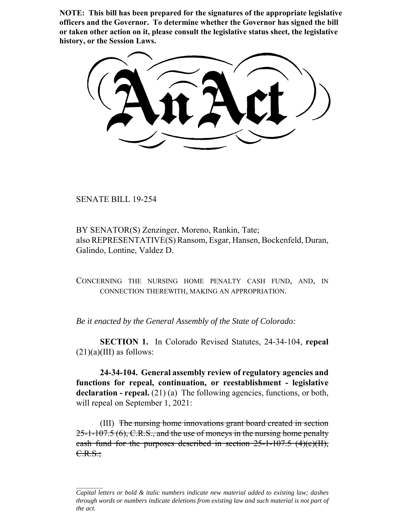**NOTE: This bill has been prepared for the signatures of the appropriate legislative officers and the Governor. To determine whether the Governor has signed the bill or taken other action on it, please consult the legislative status sheet, the legislative history, or the Session Laws.**

SENATE BILL 19-254

BY SENATOR(S) Zenzinger, Moreno, Rankin, Tate; also REPRESENTATIVE(S) Ransom, Esgar, Hansen, Bockenfeld, Duran, Galindo, Lontine, Valdez D.

CONCERNING THE NURSING HOME PENALTY CASH FUND, AND, IN CONNECTION THEREWITH, MAKING AN APPROPRIATION.

*Be it enacted by the General Assembly of the State of Colorado:*

**SECTION 1.** In Colorado Revised Statutes, 24-34-104, **repeal**  $(21)(a)(III)$  as follows:

**24-34-104. General assembly review of regulatory agencies and functions for repeal, continuation, or reestablishment - legislative declaration - repeal.** (21) (a) The following agencies, functions, or both, will repeal on September 1, 2021:

(III) The nursing home innovations grant board created in section 25-1-107.5 (6), C.R.S., and the use of moneys in the nursing home penalty cash fund for the purposes described in section  $25$ -1-107.5  $(4)(c)(H)$ ,  $C.R.S.;$ 

*Capital letters or bold & italic numbers indicate new material added to existing law; dashes through words or numbers indicate deletions from existing law and such material is not part of the act.*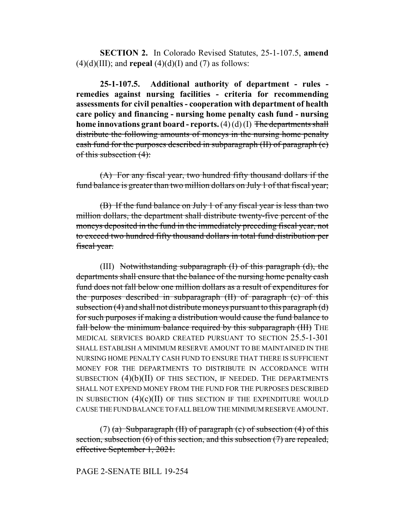**SECTION 2.** In Colorado Revised Statutes, 25-1-107.5, **amend**  $(4)(d)(III)$ ; and **repeal**  $(4)(d)(I)$  and  $(7)$  as follows:

**25-1-107.5. Additional authority of department - rules remedies against nursing facilities - criteria for recommending assessments for civil penalties - cooperation with department of health care policy and financing - nursing home penalty cash fund - nursing home innovations grant board - reports.** (4) (d) (I) The departments shall distribute the following amounts of moneys in the nursing home penalty cash fund for the purposes described in subparagraph (II) of paragraph (c) of this subsection (4):

(A) For any fiscal year, two hundred fifty thousand dollars if the fund balance is greater than two million dollars on July 1 of that fiscal year;

(B) If the fund balance on July 1 of any fiscal year is less than two million dollars, the department shall distribute twenty-five percent of the moneys deposited in the fund in the immediately preceding fiscal year, not to exceed two hundred fifty thousand dollars in total fund distribution per fiscal year.

(III) Notwithstanding subparagraph (I) of this paragraph (d), the departments shall ensure that the balance of the nursing home penalty cash fund does not fall below one million dollars as a result of expenditures for the purposes described in subparagraph (II) of paragraph (c) of this subsection  $(4)$  and shall not distribute moneys pursuant to this paragraph  $(d)$ for such purposes if making a distribution would cause the fund balance to fall below the minimum balance required by this subparagraph (III) THE MEDICAL SERVICES BOARD CREATED PURSUANT TO SECTION 25.5-1-301 SHALL ESTABLISH A MINIMUM RESERVE AMOUNT TO BE MAINTAINED IN THE NURSING HOME PENALTY CASH FUND TO ENSURE THAT THERE IS SUFFICIENT MONEY FOR THE DEPARTMENTS TO DISTRIBUTE IN ACCORDANCE WITH SUBSECTION (4)(b)(II) OF THIS SECTION, IF NEEDED. THE DEPARTMENTS SHALL NOT EXPEND MONEY FROM THE FUND FOR THE PURPOSES DESCRIBED IN SUBSECTION  $(4)(c)(II)$  of this section if the expenditure would CAUSE THE FUND BALANCE TO FALL BELOW THE MINIMUM RESERVE AMOUNT.

(7) (a) Subparagraph (II) of paragraph (c) of subsection  $(4)$  of this section, subsection  $(6)$  of this section, and this subsection  $(7)$  are repealed, effective September 1, 2021.

## PAGE 2-SENATE BILL 19-254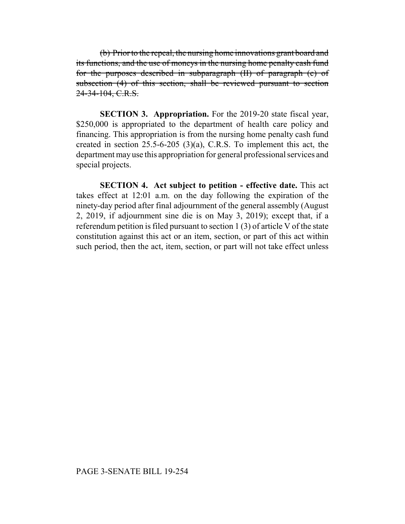(b) Prior to the repeal, the nursing home innovations grant board and its functions, and the use of moneys in the nursing home penalty cash fund for the purposes described in subparagraph (II) of paragraph (c) of subsection (4) of this section, shall be reviewed pursuant to section 24-34-104, C.R.S.

**SECTION 3. Appropriation.** For the 2019-20 state fiscal year, \$250,000 is appropriated to the department of health care policy and financing. This appropriation is from the nursing home penalty cash fund created in section 25.5-6-205 (3)(a), C.R.S. To implement this act, the department may use this appropriation for general professional services and special projects.

**SECTION 4. Act subject to petition - effective date.** This act takes effect at 12:01 a.m. on the day following the expiration of the ninety-day period after final adjournment of the general assembly (August 2, 2019, if adjournment sine die is on May 3, 2019); except that, if a referendum petition is filed pursuant to section 1 (3) of article V of the state constitution against this act or an item, section, or part of this act within such period, then the act, item, section, or part will not take effect unless

## PAGE 3-SENATE BILL 19-254